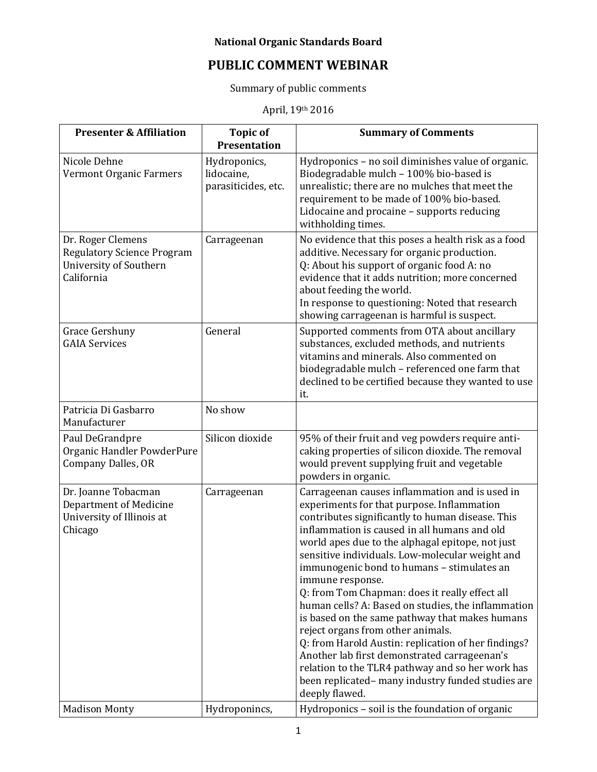## **National Organic Standards Board**

## **PUBLIC COMMENT WEBINAR**

Summary of public comments

April, 19th 2016

| <b>Presenter &amp; Affiliation</b>                                                                    | <b>Topic of</b><br><b>Presentation</b>            | <b>Summary of Comments</b>                                                                                                                                                                                                                                                                                                                                                                                                                                                                                                                                                                                                                                                                                                                                                                                |
|-------------------------------------------------------------------------------------------------------|---------------------------------------------------|-----------------------------------------------------------------------------------------------------------------------------------------------------------------------------------------------------------------------------------------------------------------------------------------------------------------------------------------------------------------------------------------------------------------------------------------------------------------------------------------------------------------------------------------------------------------------------------------------------------------------------------------------------------------------------------------------------------------------------------------------------------------------------------------------------------|
| Nicole Dehne<br>Vermont Organic Farmers                                                               | Hydroponics,<br>lidocaine,<br>parasiticides, etc. | Hydroponics - no soil diminishes value of organic.<br>Biodegradable mulch - 100% bio-based is<br>unrealistic; there are no mulches that meet the<br>requirement to be made of 100% bio-based.<br>Lidocaine and procaine - supports reducing<br>withholding times.                                                                                                                                                                                                                                                                                                                                                                                                                                                                                                                                         |
| Dr. Roger Clemens<br><b>Regulatory Science Program</b><br><b>University of Southern</b><br>California | Carrageenan                                       | No evidence that this poses a health risk as a food<br>additive. Necessary for organic production.<br>Q: About his support of organic food A: no<br>evidence that it adds nutrition; more concerned<br>about feeding the world.<br>In response to questioning: Noted that research<br>showing carrageenan is harmful is suspect.                                                                                                                                                                                                                                                                                                                                                                                                                                                                          |
| Grace Gershuny<br><b>GAIA Services</b>                                                                | General                                           | Supported comments from OTA about ancillary<br>substances, excluded methods, and nutrients<br>vitamins and minerals. Also commented on<br>biodegradable mulch - referenced one farm that<br>declined to be certified because they wanted to use<br>it.                                                                                                                                                                                                                                                                                                                                                                                                                                                                                                                                                    |
| Patricia Di Gasbarro<br>Manufacturer                                                                  | No show                                           |                                                                                                                                                                                                                                                                                                                                                                                                                                                                                                                                                                                                                                                                                                                                                                                                           |
| Paul DeGrandpre<br>Organic Handler PowderPure<br><b>Company Dalles, OR</b>                            | Silicon dioxide                                   | 95% of their fruit and veg powders require anti-<br>caking properties of silicon dioxide. The removal<br>would prevent supplying fruit and vegetable<br>powders in organic.                                                                                                                                                                                                                                                                                                                                                                                                                                                                                                                                                                                                                               |
| Dr. Joanne Tobacman<br>Department of Medicine<br>University of Illinois at<br>Chicago                 | Carrageenan                                       | Carrageenan causes inflammation and is used in<br>experiments for that purpose. Inflammation<br>contributes significantly to human disease. This<br>inflammation is caused in all humans and old<br>world apes due to the alphagal epitope, not just<br>sensitive individuals. Low-molecular weight and<br>immunogenic bond to humans - stimulates an<br>immune response.<br>Q: from Tom Chapman: does it really effect all<br>human cells? A: Based on studies, the inflammation<br>is based on the same pathway that makes humans<br>reject organs from other animals.<br>Q: from Harold Austin: replication of her findings?<br>Another lab first demonstrated carrageenan's<br>relation to the TLR4 pathway and so her work has<br>been replicated-many industry funded studies are<br>deeply flawed. |
| <b>Madison Monty</b>                                                                                  | Hydroponincs,                                     | Hydroponics - soil is the foundation of organic                                                                                                                                                                                                                                                                                                                                                                                                                                                                                                                                                                                                                                                                                                                                                           |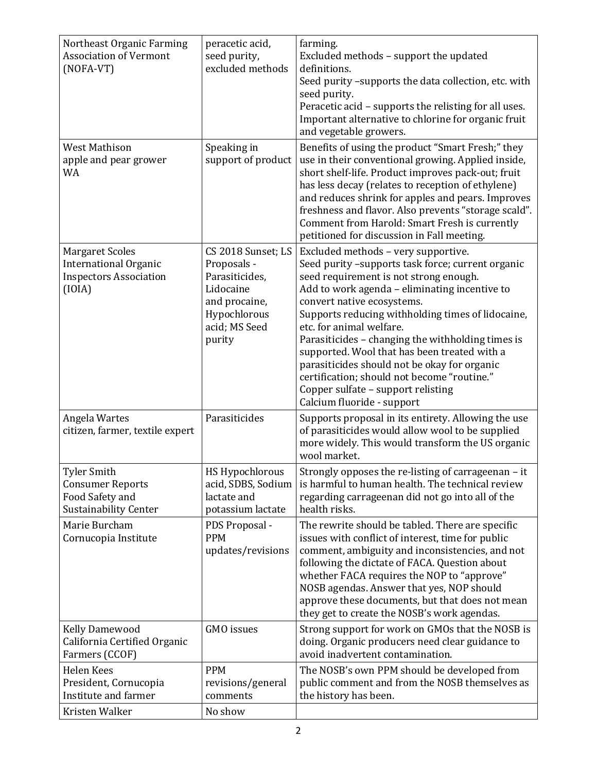| <b>West Mathison</b><br>Speaking in<br>Benefits of using the product "Smart Fresh;" they<br>apple and pear grower<br>support of product<br>use in their conventional growing. Applied inside,                                                                                                                                                                                                                                                                                                                                                                                                                                                                                                                                                                                                                   |  |
|-----------------------------------------------------------------------------------------------------------------------------------------------------------------------------------------------------------------------------------------------------------------------------------------------------------------------------------------------------------------------------------------------------------------------------------------------------------------------------------------------------------------------------------------------------------------------------------------------------------------------------------------------------------------------------------------------------------------------------------------------------------------------------------------------------------------|--|
| <b>WA</b><br>short shelf-life. Product improves pack-out; fruit<br>has less decay (relates to reception of ethylene)<br>and reduces shrink for apples and pears. Improves<br>freshness and flavor. Also prevents "storage scald".<br>Comment from Harold: Smart Fresh is currently<br>petitioned for discussion in Fall meeting.                                                                                                                                                                                                                                                                                                                                                                                                                                                                                |  |
| <b>Margaret Scoles</b><br>CS 2018 Sunset; LS<br>Excluded methods - very supportive.<br><b>International Organic</b><br>Proposals -<br>Seed purity -supports task force; current organic<br><b>Inspectors Association</b><br>Parasiticides,<br>seed requirement is not strong enough.<br>(IOIA)<br>Lidocaine<br>Add to work agenda - eliminating incentive to<br>and procaine,<br>convert native ecosystems.<br>Hypochlorous<br>Supports reducing withholding times of lidocaine,<br>acid; MS Seed<br>etc. for animal welfare.<br>Parasiticides - changing the withholding times is<br>purity<br>supported. Wool that has been treated with a<br>parasiticides should not be okay for organic<br>certification; should not become "routine."<br>Copper sulfate - support relisting<br>Calcium fluoride - support |  |
| Parasiticides<br>Angela Wartes<br>Supports proposal in its entirety. Allowing the use<br>citizen, farmer, textile expert<br>of parasiticides would allow wool to be supplied<br>more widely. This would transform the US organic<br>wool market.                                                                                                                                                                                                                                                                                                                                                                                                                                                                                                                                                                |  |
| <b>Tyler Smith</b><br>Strongly opposes the re-listing of carrageenan - it<br><b>HS Hypochlorous</b><br>is harmful to human health. The technical review<br><b>Consumer Reports</b><br>acid, SDBS, Sodium<br>Food Safety and<br>regarding carrageenan did not go into all of the<br>lactate and<br><b>Sustainability Center</b><br>potassium lactate<br>health risks.                                                                                                                                                                                                                                                                                                                                                                                                                                            |  |
| Marie Burcham<br>The rewrite should be tabled. There are specific<br>PDS Proposal -<br>Cornucopia Institute<br><b>PPM</b><br>issues with conflict of interest, time for public<br>updates/revisions<br>comment, ambiguity and inconsistencies, and not<br>following the dictate of FACA. Question about<br>whether FACA requires the NOP to "approve"<br>NOSB agendas. Answer that yes, NOP should<br>approve these documents, but that does not mean<br>they get to create the NOSB's work agendas.                                                                                                                                                                                                                                                                                                            |  |
| GMO issues<br>Strong support for work on GMOs that the NOSB is<br><b>Kelly Damewood</b><br>California Certified Organic<br>doing. Organic producers need clear guidance to<br>Farmers (CCOF)<br>avoid inadvertent contamination.                                                                                                                                                                                                                                                                                                                                                                                                                                                                                                                                                                                |  |
| Helen Kees<br><b>PPM</b><br>The NOSB's own PPM should be developed from<br>President, Cornucopia<br>public comment and from the NOSB themselves as<br>revisions/general<br>Institute and farmer<br>the history has been.<br>comments<br>Kristen Walker<br>No show                                                                                                                                                                                                                                                                                                                                                                                                                                                                                                                                               |  |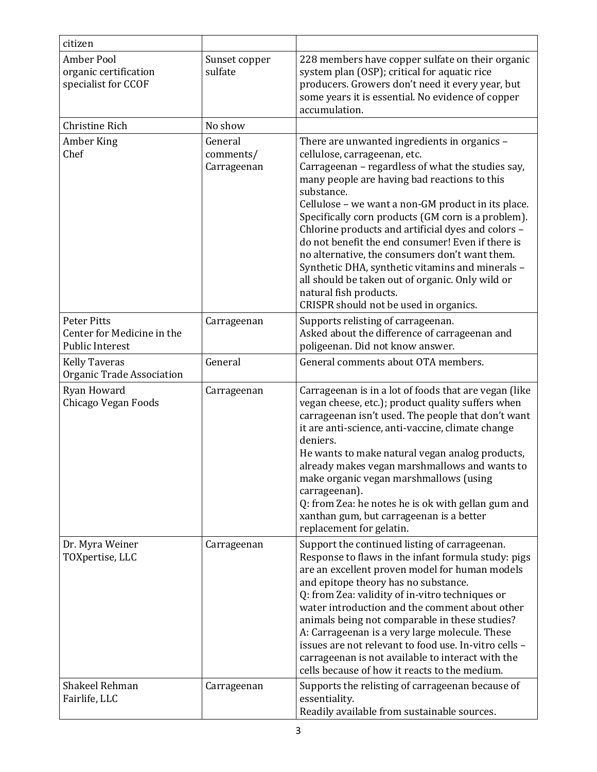| citizen                                                                    |                                     |                                                                                                                                                                                                                                                                                                                                                                                                                                                                                                                                                                                                                                                      |
|----------------------------------------------------------------------------|-------------------------------------|------------------------------------------------------------------------------------------------------------------------------------------------------------------------------------------------------------------------------------------------------------------------------------------------------------------------------------------------------------------------------------------------------------------------------------------------------------------------------------------------------------------------------------------------------------------------------------------------------------------------------------------------------|
| <b>Amber Pool</b><br>organic certification<br>specialist for CCOF          | Sunset copper<br>sulfate            | 228 members have copper sulfate on their organic<br>system plan (OSP); critical for aquatic rice<br>producers. Growers don't need it every year, but<br>some years it is essential. No evidence of copper<br>accumulation.                                                                                                                                                                                                                                                                                                                                                                                                                           |
| <b>Christine Rich</b>                                                      | No show                             |                                                                                                                                                                                                                                                                                                                                                                                                                                                                                                                                                                                                                                                      |
| Amber King<br>Chef                                                         | General<br>comments/<br>Carrageenan | There are unwanted ingredients in organics -<br>cellulose, carrageenan, etc.<br>Carrageenan - regardless of what the studies say,<br>many people are having bad reactions to this<br>substance.<br>Cellulose - we want a non-GM product in its place.<br>Specifically corn products (GM corn is a problem).<br>Chlorine products and artificial dyes and colors -<br>do not benefit the end consumer! Even if there is<br>no alternative, the consumers don't want them.<br>Synthetic DHA, synthetic vitamins and minerals -<br>all should be taken out of organic. Only wild or<br>natural fish products.<br>CRISPR should not be used in organics. |
| <b>Peter Pitts</b><br>Center for Medicine in the<br><b>Public Interest</b> | Carrageenan                         | Supports relisting of carrageenan.<br>Asked about the difference of carrageenan and<br>poligeenan. Did not know answer.                                                                                                                                                                                                                                                                                                                                                                                                                                                                                                                              |
| <b>Kelly Taveras</b><br>Organic Trade Association                          | General                             | General comments about OTA members.                                                                                                                                                                                                                                                                                                                                                                                                                                                                                                                                                                                                                  |
| Ryan Howard<br>Chicago Vegan Foods                                         | Carrageenan                         | Carrageenan is in a lot of foods that are vegan (like<br>vegan cheese, etc.); product quality suffers when<br>carrageenan isn't used. The people that don't want<br>it are anti-science, anti-vaccine, climate change<br>deniers.<br>He wants to make natural vegan analog products,<br>already makes vegan marshmallows and wants to<br>make organic vegan marshmallows (using<br>carrageenan).<br>Q: from Zea: he notes he is ok with gellan gum and<br>xanthan gum, but carrageenan is a better<br>replacement for gelatin.                                                                                                                       |
| Dr. Myra Weiner<br>TOXpertise, LLC                                         | Carrageenan                         | Support the continued listing of carrageenan.<br>Response to flaws in the infant formula study: pigs<br>are an excellent proven model for human models<br>and epitope theory has no substance.<br>Q: from Zea: validity of in-vitro techniques or<br>water introduction and the comment about other<br>animals being not comparable in these studies?<br>A: Carrageenan is a very large molecule. These<br>issues are not relevant to food use. In-vitro cells -<br>carrageenan is not available to interact with the<br>cells because of how it reacts to the medium.                                                                               |
| Shakeel Rehman<br>Fairlife, LLC                                            | Carrageenan                         | Supports the relisting of carrageenan because of<br>essentiality.<br>Readily available from sustainable sources.                                                                                                                                                                                                                                                                                                                                                                                                                                                                                                                                     |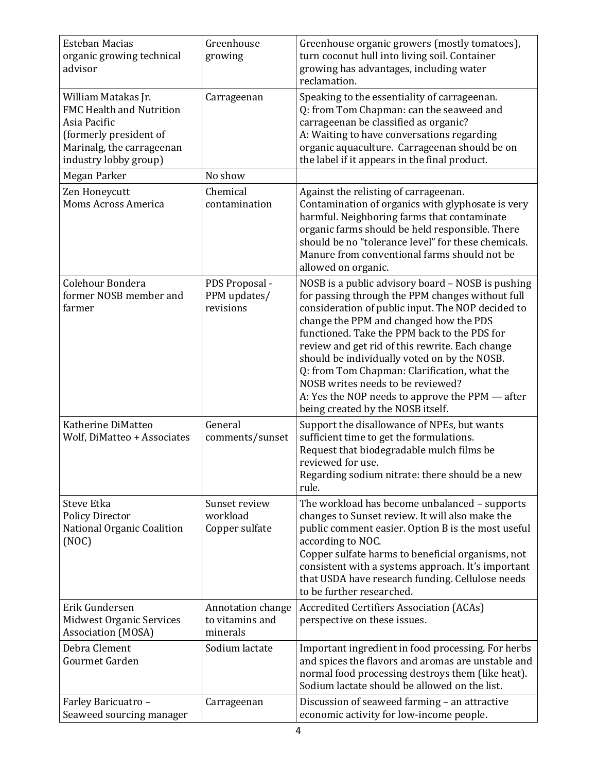| <b>Esteban Macias</b><br>organic growing technical<br>advisor                                                                                   | Greenhouse<br>growing                            | Greenhouse organic growers (mostly tomatoes),<br>turn coconut hull into living soil. Container<br>growing has advantages, including water<br>reclamation.                                                                                                                                                                                                                                                                                                                                                                            |
|-------------------------------------------------------------------------------------------------------------------------------------------------|--------------------------------------------------|--------------------------------------------------------------------------------------------------------------------------------------------------------------------------------------------------------------------------------------------------------------------------------------------------------------------------------------------------------------------------------------------------------------------------------------------------------------------------------------------------------------------------------------|
| William Matakas Jr.<br>FMC Health and Nutrition<br>Asia Pacific<br>(formerly president of<br>Marinalg, the carrageenan<br>industry lobby group) | Carrageenan                                      | Speaking to the essentiality of carrageenan.<br>Q: from Tom Chapman: can the seaweed and<br>carrageenan be classified as organic?<br>A: Waiting to have conversations regarding<br>organic aquaculture. Carrageenan should be on<br>the label if it appears in the final product.                                                                                                                                                                                                                                                    |
| Megan Parker                                                                                                                                    | No show                                          |                                                                                                                                                                                                                                                                                                                                                                                                                                                                                                                                      |
| Zen Honeycutt<br>Moms Across America                                                                                                            | Chemical<br>contamination                        | Against the relisting of carrageenan.<br>Contamination of organics with glyphosate is very<br>harmful. Neighboring farms that contaminate<br>organic farms should be held responsible. There<br>should be no "tolerance level" for these chemicals.<br>Manure from conventional farms should not be<br>allowed on organic.                                                                                                                                                                                                           |
| Colehour Bondera<br>former NOSB member and<br>farmer                                                                                            | PDS Proposal -<br>PPM updates/<br>revisions      | NOSB is a public advisory board - NOSB is pushing<br>for passing through the PPM changes without full<br>consideration of public input. The NOP decided to<br>change the PPM and changed how the PDS<br>functioned. Take the PPM back to the PDS for<br>review and get rid of this rewrite. Each change<br>should be individually voted on by the NOSB.<br>Q: from Tom Chapman: Clarification, what the<br>NOSB writes needs to be reviewed?<br>A: Yes the NOP needs to approve the PPM — after<br>being created by the NOSB itself. |
| Katherine DiMatteo<br>Wolf, DiMatteo + Associates                                                                                               | General<br>comments/sunset                       | Support the disallowance of NPEs, but wants<br>sufficient time to get the formulations.<br>Request that biodegradable mulch films be<br>reviewed for use.<br>Regarding sodium nitrate: there should be a new<br>rule.                                                                                                                                                                                                                                                                                                                |
| <b>Steve Etka</b><br><b>Policy Director</b><br>National Organic Coalition<br>(NOC)                                                              | Sunset review<br>workload<br>Copper sulfate      | The workload has become unbalanced – supports<br>changes to Sunset review. It will also make the<br>public comment easier. Option B is the most useful<br>according to NOC.<br>Copper sulfate harms to beneficial organisms, not<br>consistent with a systems approach. It's important<br>that USDA have research funding. Cellulose needs<br>to be further researched.                                                                                                                                                              |
| Erik Gundersen<br><b>Midwest Organic Services</b><br><b>Association (MOSA)</b>                                                                  | Annotation change<br>to vitamins and<br>minerals | <b>Accredited Certifiers Association (ACAs)</b><br>perspective on these issues.                                                                                                                                                                                                                                                                                                                                                                                                                                                      |
| Debra Clement<br>Gourmet Garden                                                                                                                 | Sodium lactate                                   | Important ingredient in food processing. For herbs<br>and spices the flavors and aromas are unstable and<br>normal food processing destroys them (like heat).<br>Sodium lactate should be allowed on the list.                                                                                                                                                                                                                                                                                                                       |
| Farley Baricuatro -<br>Seaweed sourcing manager                                                                                                 | Carrageenan                                      | Discussion of seaweed farming - an attractive<br>economic activity for low-income people.                                                                                                                                                                                                                                                                                                                                                                                                                                            |